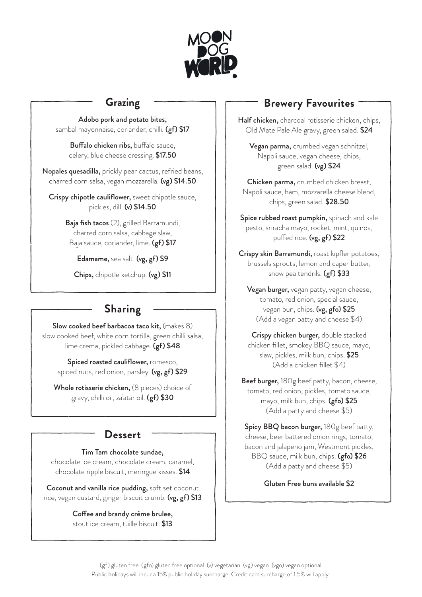

## **Grazing**

Adobo pork and potato bites, sambal mayonnaise, coriander, chilli. (gf) \$17

Buffalo chicken ribs, buffalo sauce, celery, blue cheese dressing. \$17.50

Nopales quesadilla, prickly pear cactus, refried beans, charred corn salsa, vegan mozzarella. (vg) \$14.50

Crispy chipotle cauliflower, sweet chipotle sauce, pickles, dill. (v) \$14.50

> Baja fish tacos (2), grilled Barramundi, charred corn salsa, cabbage slaw, Baja sauce, coriander, lime. (gf) \$17

Edamame, sea salt. (vg, gf) \$9

Chips, chipotle ketchup. (vg) \$11

# **Sharing**

Slow cooked beef barbacoa taco kit, (makes 8) slow cooked beef, white corn tortilla, green chilli salsa, lime crema, pickled cabbage. (gf) \$48

Spiced roasted cauliflower, romesco, spiced nuts, red onion, parsley. (vg, gf) \$29

Whole rotisserie chicken, (8 pieces) choice of gravy, chilli oil, za'atar oil. (gf) \$30

### **Dessert**

#### Tim Tam chocolate sundae,

chocolate ice cream, chocolate cream, caramel, chocolate ripple biscuit, meringue kisses. \$14

Coconut and vanilla rice pudding, soft set coconut rice, vegan custard, ginger biscuit crumb. (vg, gf) \$13

> Coffee and brandy crème brulee, stout ice cream, tuille biscuit. \$13

# **Brewery Favourites**

Half chicken, charcoal rotisserie chicken, chips, Old Mate Pale Ale gravy, green salad. \$24

Vegan parma, crumbed vegan schnitzel, Napoli sauce, vegan cheese, chips, green salad. (vg) \$24

Chicken parma, crumbed chicken breast, Napoli sauce, ham, mozzarella cheese blend, chips, green salad. \$28.50

Spice rubbed roast pumpkin, spinach and kale pesto, sriracha mayo, rocket, mint, quinoa, puffed rice. (vg, gf) \$22

Crispy skin Barramundi, roast kipfler potatoes, brussels sprouts, lemon and caper butter, snow pea tendrils. (gf) \$33

Vegan burger, vegan patty, vegan cheese, tomato, red onion, special sauce, vegan bun, chips. (vg, gfo) \$25 (Add a vegan patty and cheese \$4)

Crispy chicken burger, double stacked chicken fillet, smokey BBQ sauce, mayo, slaw, pickles, milk bun, chips. \$25 (Add a chicken fillet \$4)

Beef burger, 180g beef patty, bacon, cheese, tomato, red onion, pickles, tomato sauce, mayo, milk bun, chips. (gfo) \$25 (Add a patty and cheese \$5)

Spicy BBQ bacon burger, 180g beef patty, cheese, beer battered onion rings, tomato, bacon and jalapeno jam, Westmont pickles, BBQ sauce, milk bun, chips. (gfo) \$26 (Add a patty and cheese \$5)

Gluten Free buns available \$2